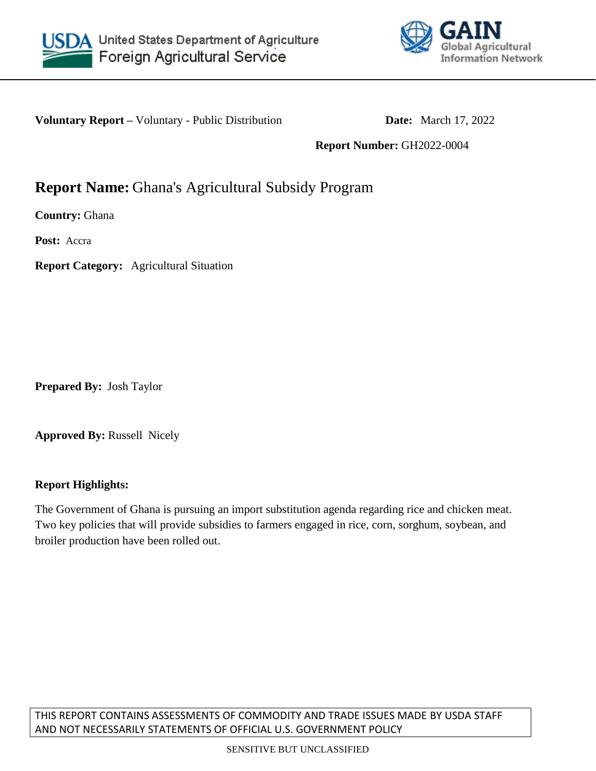



**Voluntary Report** – Voluntary - Public Distribution **Date:** March 17, 2022

**Report Number:** GH2022-0004

# **Report Name:** Ghana's Agricultural Subsidy Program

**Country:** Ghana

**Post:** Accra

**Report Category:** Agricultural Situation

**Prepared By:** Josh Taylor

**Approved By:** Russell Nicely

### **Report Highlights:**

The Government of Ghana is pursuing an import substitution agenda regarding rice and chicken meat. Two key policies that will provide subsidies to farmers engaged in rice, corn, sorghum, soybean, and broiler production have been rolled out.

THIS REPORT CONTAINS ASSESSMENTS OF COMMODITY AND TRADE ISSUES MADE BY USDA STAFF AND NOT NECESSARILY STATEMENTS OF OFFICIAL U.S. GOVERNMENT POLICY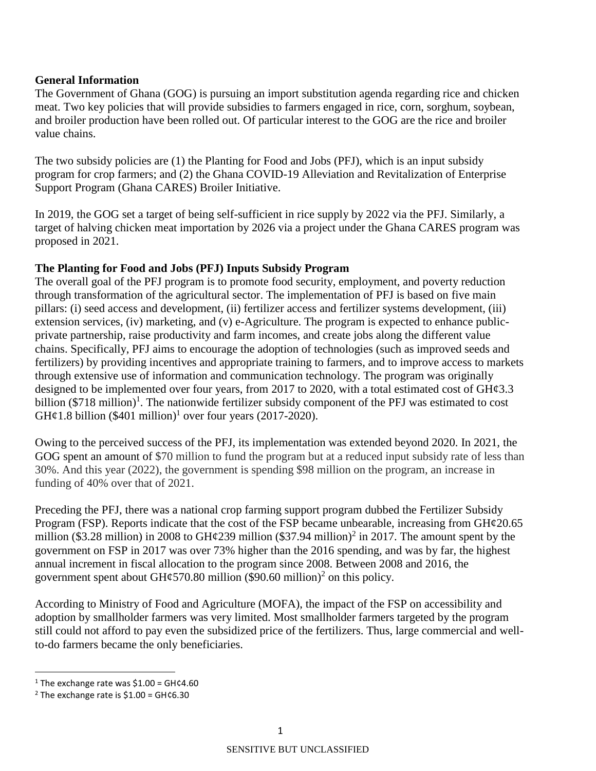#### **General Information**

The Government of Ghana (GOG) is pursuing an import substitution agenda regarding rice and chicken meat. Two key policies that will provide subsidies to farmers engaged in rice, corn, sorghum, soybean, and broiler production have been rolled out. Of particular interest to the GOG are the rice and broiler value chains.

The two subsidy policies are (1) the Planting for Food and Jobs (PFJ), which is an input subsidy program for crop farmers; and (2) the Ghana COVID-19 Alleviation and Revitalization of Enterprise Support Program (Ghana CARES) Broiler Initiative.

In 2019, the GOG set a target of being self-sufficient in rice supply by 2022 via the PFJ. Similarly, a target of halving chicken meat importation by 2026 via a project under the Ghana CARES program was proposed in 2021.

#### **The Planting for Food and Jobs (PFJ) Inputs Subsidy Program**

The overall goal of the PFJ program is to promote food security, employment, and poverty reduction through transformation of the agricultural sector. The implementation of PFJ is based on five main pillars: (i) seed access and development, (ii) fertilizer access and fertilizer systems development, (iii) extension services, (iv) marketing, and (v) e-Agriculture. The program is expected to enhance publicprivate partnership, raise productivity and farm incomes, and create jobs along the different value chains. Specifically, PFJ aims to encourage the adoption of technologies (such as improved seeds and fertilizers) by providing incentives and appropriate training to farmers, and to improve access to markets through extensive use of information and communication technology. The program was originally designed to be implemented over four years, from 2017 to 2020, with a total estimated cost of  $GHq3.3$ billion  $(\$718 \text{ million})^1$ . The nationwide fertilizer subsidy component of the PFJ was estimated to cost GH¢1.8 billion (\$401 million)<sup>1</sup> over four years (2017-2020).

Owing to the perceived success of the PFJ, its implementation was extended beyond 2020. In 2021, the GOG spent an amount of \$70 million to fund the program but at a reduced input subsidy rate of less than 30%. And this year (2022), the government is spending \$98 million on the program, an increase in funding of 40% over that of 2021.

Preceding the PFJ, there was a national crop farming support program dubbed the Fertilizer Subsidy Program (FSP). Reports indicate that the cost of the FSP became unbearable, increasing from  $GH\varphi20.65$ million (\$3.28 million) in 2008 to GH $\varphi$ 239 million (\$37.94 million)<sup>2</sup> in 2017. The amount spent by the government on FSP in 2017 was over 73% higher than the 2016 spending, and was by far, the highest annual increment in fiscal allocation to the program since 2008. Between 2008 and 2016, the government spent about GH¢570.80 million (\$90.60 million)<sup>2</sup> on this policy.

According to Ministry of Food and Agriculture (MOFA), the impact of the FSP on accessibility and adoption by smallholder farmers was very limited. Most smallholder farmers targeted by the program still could not afford to pay even the subsidized price of the fertilizers. Thus, large commercial and wellto-do farmers became the only beneficiaries.

 $\overline{\phantom{a}}$ 

<sup>&</sup>lt;sup>1</sup> The exchange rate was  $$1.00 =$  GH¢4.60

<sup>&</sup>lt;sup>2</sup> The exchange rate is  $$1.00 = \text{GHC6.30}$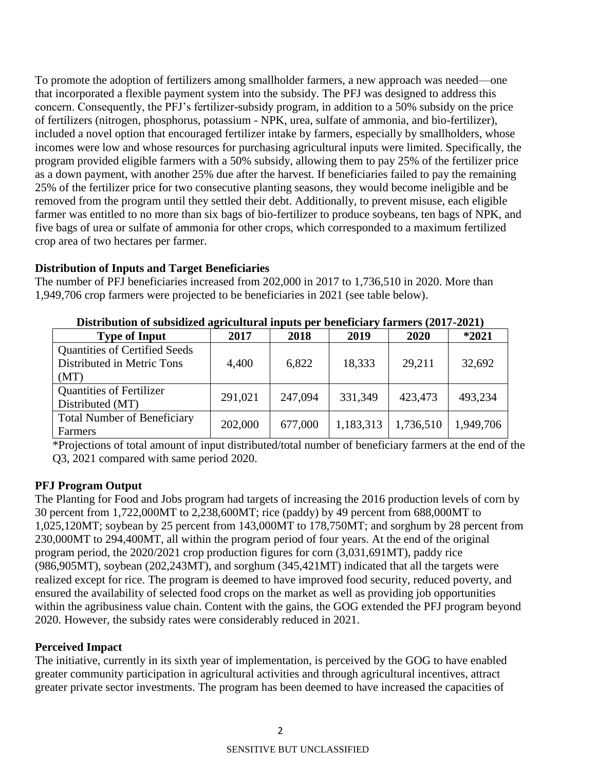To promote the adoption of fertilizers among smallholder farmers, a new approach was needed—one that incorporated a flexible payment system into the subsidy. The PFJ was designed to address this concern. Consequently, the PFJ's fertilizer-subsidy program, in addition to a 50% subsidy on the price of fertilizers (nitrogen, phosphorus, potassium - NPK, urea, sulfate of ammonia, and bio-fertilizer), included a novel option that encouraged fertilizer intake by farmers, especially by smallholders, whose incomes were low and whose resources for purchasing agricultural inputs were limited. Specifically, the program provided eligible farmers with a 50% subsidy, allowing them to pay 25% of the fertilizer price as a down payment, with another 25% due after the harvest. If beneficiaries failed to pay the remaining 25% of the fertilizer price for two consecutive planting seasons, they would become ineligible and be removed from the program until they settled their debt. Additionally, to prevent misuse, each eligible farmer was entitled to no more than six bags of bio-fertilizer to produce soybeans, ten bags of NPK, and five bags of urea or sulfate of ammonia for other crops, which corresponded to a maximum fertilized crop area of two hectares per farmer.

# **Distribution of Inputs and Target Beneficiaries**

The number of PFJ beneficiaries increased from 202,000 in 2017 to 1,736,510 in 2020. More than 1,949,706 crop farmers were projected to be beneficiaries in 2021 (see table below).

| Distribution of subsidized agricultural inputs per beneficially farmers (2017-2021) |         |         |           |           |           |  |  |
|-------------------------------------------------------------------------------------|---------|---------|-----------|-----------|-----------|--|--|
| <b>Type of Input</b>                                                                | 2017    | 2018    | 2019      | 2020      | $*2021$   |  |  |
| <b>Quantities of Certified Seeds</b>                                                |         |         |           |           |           |  |  |
| Distributed in Metric Tons                                                          | 4,400   | 6,822   | 18,333    | 29,211    | 32,692    |  |  |
| (MT)                                                                                |         |         |           |           |           |  |  |
| <b>Quantities of Fertilizer</b>                                                     | 291,021 | 247,094 | 331,349   | 423,473   | 493,234   |  |  |
| Distributed (MT)                                                                    |         |         |           |           |           |  |  |
| <b>Total Number of Beneficiary</b>                                                  | 202,000 | 677,000 | 1,183,313 | 1,736,510 | 1,949,706 |  |  |
| Farmers                                                                             |         |         |           |           |           |  |  |

**Distribution of subsidized agricultural inputs per beneficiary farmers (2017-2021)**

\*Projections of total amount of input distributed/total number of beneficiary farmers at the end of the Q3, 2021 compared with same period 2020.

# **PFJ Program Output**

The Planting for Food and Jobs program had targets of increasing the 2016 production levels of corn by 30 percent from 1,722,000MT to 2,238,600MT; rice (paddy) by 49 percent from 688,000MT to 1,025,120MT; soybean by 25 percent from 143,000MT to 178,750MT; and sorghum by 28 percent from 230,000MT to 294,400MT, all within the program period of four years. At the end of the original program period, the 2020/2021 crop production figures for corn (3,031,691MT), paddy rice (986,905MT), soybean (202,243MT), and sorghum (345,421MT) indicated that all the targets were realized except for rice. The program is deemed to have improved food security, reduced poverty, and ensured the availability of selected food crops on the market as well as providing job opportunities within the agribusiness value chain. Content with the gains, the GOG extended the PFJ program beyond 2020. However, the subsidy rates were considerably reduced in 2021.

# **Perceived Impact**

The initiative, currently in its sixth year of implementation, is perceived by the GOG to have enabled greater community participation in agricultural activities and through agricultural incentives, attract greater private sector investments. The program has been deemed to have increased the capacities of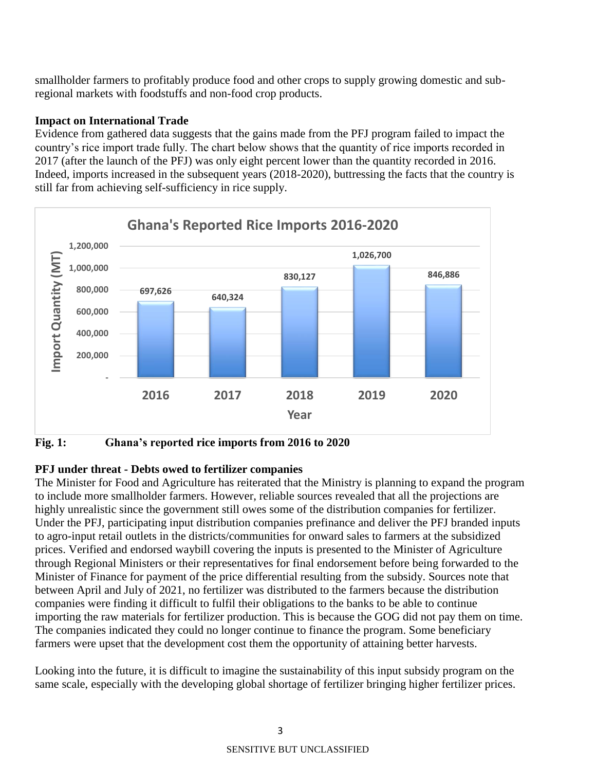smallholder farmers to profitably produce food and other crops to supply growing domestic and subregional markets with foodstuffs and non-food crop products.

#### **Impact on International Trade**

Evidence from gathered data suggests that the gains made from the PFJ program failed to impact the country's rice import trade fully. The chart below shows that the quantity of rice imports recorded in 2017 (after the launch of the PFJ) was only eight percent lower than the quantity recorded in 2016. Indeed, imports increased in the subsequent years (2018-2020), buttressing the facts that the country is still far from achieving self-sufficiency in rice supply.



**Fig. 1: Ghana's reported rice imports from 2016 to 2020**

### **PFJ under threat - Debts owed to fertilizer companies**

The Minister for Food and Agriculture has reiterated that the Ministry is planning to expand the program to include more smallholder farmers. However, reliable sources revealed that all the projections are highly unrealistic since the government still owes some of the distribution companies for fertilizer. Under the PFJ, participating input distribution companies prefinance and deliver the PFJ branded inputs to agro-input retail outlets in the districts/communities for onward sales to farmers at the subsidized prices. Verified and endorsed waybill covering the inputs is presented to the Minister of Agriculture through Regional Ministers or their representatives for final endorsement before being forwarded to the Minister of Finance for payment of the price differential resulting from the subsidy. Sources note that between April and July of 2021, no fertilizer was distributed to the farmers because the distribution companies were finding it difficult to fulfil their obligations to the banks to be able to continue importing the raw materials for fertilizer production. This is because the GOG did not pay them on time. The companies indicated they could no longer continue to finance the program. Some beneficiary farmers were upset that the development cost them the opportunity of attaining better harvests.

Looking into the future, it is difficult to imagine the sustainability of this input subsidy program on the same scale, especially with the developing global shortage of fertilizer bringing higher fertilizer prices.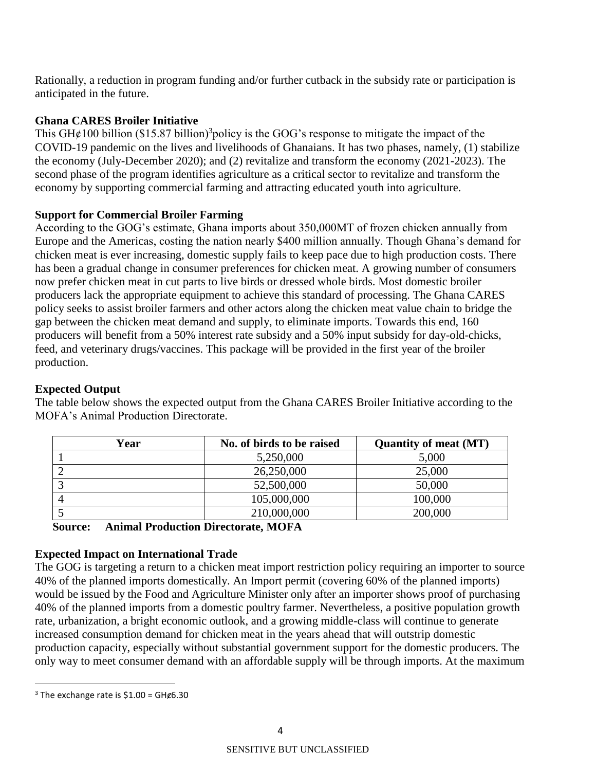Rationally, a reduction in program funding and/or further cutback in the subsidy rate or participation is anticipated in the future.

### **Ghana CARES Broiler Initiative**

This GH $\epsilon$ 100 billion (\$15.87 billion)<sup>3</sup> policy is the GOG's response to mitigate the impact of the COVID-19 pandemic on the lives and livelihoods of Ghanaians. It has two phases, namely, (1) stabilize the economy (July-December 2020); and (2) revitalize and transform the economy (2021-2023). The second phase of the program identifies agriculture as a critical sector to revitalize and transform the economy by supporting commercial farming and attracting educated youth into agriculture.

# **Support for Commercial Broiler Farming**

According to the GOG's estimate, Ghana imports about 350,000MT of frozen chicken annually from Europe and the Americas, costing the nation nearly \$400 million annually. Though Ghana's demand for chicken meat is ever increasing, domestic supply fails to keep pace due to high production costs. There has been a gradual change in consumer preferences for chicken meat. A growing number of consumers now prefer chicken meat in cut parts to live birds or dressed whole birds. Most domestic broiler producers lack the appropriate equipment to achieve this standard of processing. The Ghana CARES policy seeks to assist broiler farmers and other actors along the chicken meat value chain to bridge the gap between the chicken meat demand and supply, to eliminate imports. Towards this end, 160 producers will benefit from a 50% interest rate subsidy and a 50% input subsidy for day-old-chicks, feed, and veterinary drugs/vaccines. This package will be provided in the first year of the broiler production.

## **Expected Output**

| Year | No. of birds to be raised | <b>Quantity of meat (MT)</b> |
|------|---------------------------|------------------------------|
|      | 5,250,000                 | 5,000                        |
|      | 26,250,000                | 25,000                       |
|      | 52,500,000                | 50,000                       |
|      | 105,000,000               | 100,000                      |
|      | 210,000,000               | 200,000                      |

The table below shows the expected output from the Ghana CARES Broiler Initiative according to the MOFA's Animal Production Directorate.

**Source: Animal Production Directorate, MOFA**

### **Expected Impact on International Trade**

The GOG is targeting a return to a chicken meat import restriction policy requiring an importer to source 40% of the planned imports domestically. An Import permit (covering 60% of the planned imports) would be issued by the Food and Agriculture Minister only after an importer shows proof of purchasing 40% of the planned imports from a domestic poultry farmer. Nevertheless, a positive population growth rate, urbanization, a bright economic outlook, and a growing middle-class will continue to generate increased consumption demand for chicken meat in the years ahead that will outstrip domestic production capacity, especially without substantial government support for the domestic producers. The only way to meet consumer demand with an affordable supply will be through imports. At the maximum

 $\overline{\phantom{a}}$ 

 $3$  The exchange rate is \$1.00 = GH $\epsilon$ 6.30